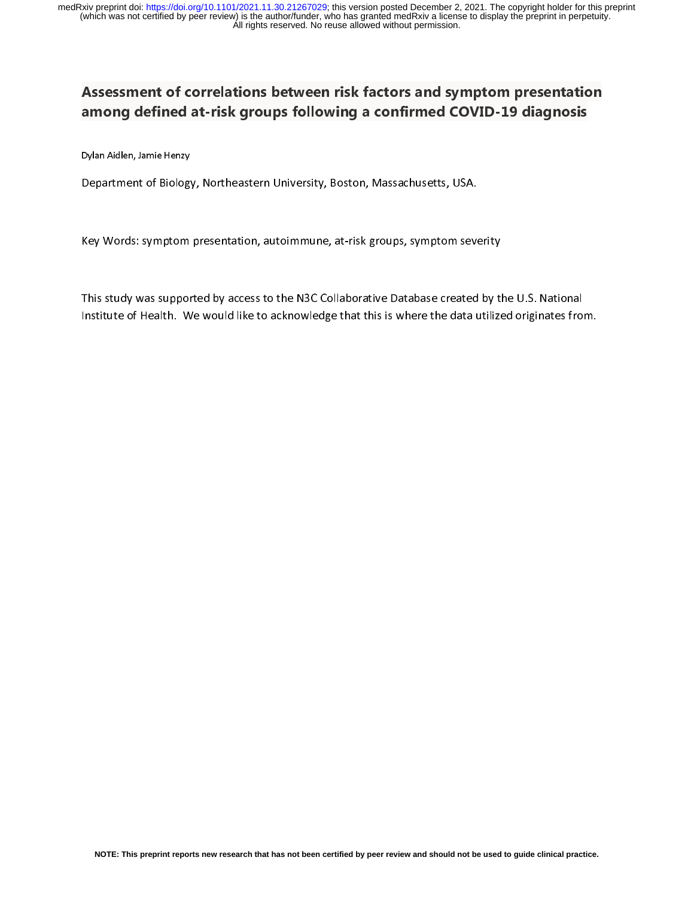# Assessment of correlations between risk factors and symptom presentation among defined at-risk groups following a confirmed COVID-19 diagnosis

Dylan Aidlen, Jamie Henzy

Department of Biology, Northeastern University, Boston, Massachusetts, USA.

Key Words: symptom presentation, autoimmune, at-risk groups, symptom severity

This study was supported by access to the N3C Collaborative Database created by the U.S. National Institute of Health. We would like to acknowledge that this is where the data utilized originates from.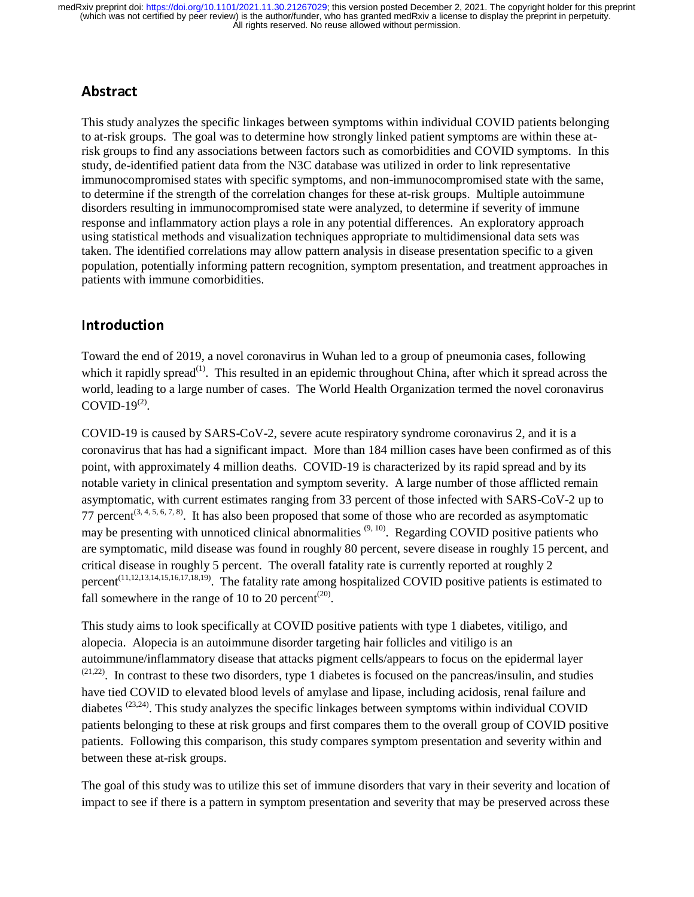# Abstract

This study analyzes the specific linkages between symptoms within individual COVID patients belonging to at-risk groups. The goal was to determine how strongly linked patient symptoms are within these atrisk groups to find any associations between factors such as comorbidities and COVID symptoms. In this study, de-identified patient data from the N3C database was utilized in order to link representative immunocompromised states with specific symptoms, and non-immunocompromised state with the same, to determine if the strength of the correlation changes for these at-risk groups. Multiple autoimmune disorders resulting in immunocompromised state were analyzed, to determine if severity of immune response and inflammatory action plays a role in any potential differences. An exploratory approach using statistical methods and visualization techniques appropriate to multidimensional data sets was taken. The identified correlations may allow pattern analysis in disease presentation specific to a given population, potentially informing pattern recognition, symptom presentation, and treatment approaches in patients with immune comorbidities.

# Introduction

Toward the end of 2019, a novel coronavirus in Wuhan led to a group of pneumonia cases, following which it rapidly spread<sup>(1)</sup>. This resulted in an epidemic throughout China, after which it spread across the world, leading to a large number of cases. The World Health Organization termed the novel coronavirus COVID-19 $(2)$ .

COVID-19 is caused by SARS-CoV-2, severe acute respiratory syndrome coronavirus 2, and it is a coronavirus that has had a significant impact. More than 184 million cases have been confirmed as of this point, with approximately 4 million deaths. COVID-19 is characterized by its rapid spread and by its notable variety in clinical presentation and symptom severity. A large number of those afflicted remain asymptomatic, with current estimates ranging from 33 percent of those infected with SARS-CoV-2 up to 77 percent<sup> $(3, 4, 5, 6, 7, 8)$ </sup>. It has also been proposed that some of those who are recorded as asymptomatic may be presenting with unnoticed clinical abnormalities  $(9, 10)$ . Regarding COVID positive patients who are symptomatic, mild disease was found in roughly 80 percent, severe disease in roughly 15 percent, and critical disease in roughly 5 percent. The overall fatality rate is currently reported at roughly 2 percent<sup>(11,12,13,14,15,16,17,18,19)</sup>. The fatality rate among hospitalized COVID positive patients is estimated to fall somewhere in the range of 10 to 20 percent<sup> $(20)$ </sup>.

This study aims to look specifically at COVID positive patients with type 1 diabetes, vitiligo, and alopecia. Alopecia is an autoimmune disorder targeting hair follicles and vitiligo is an autoimmune/inflammatory disease that attacks pigment cells/appears to focus on the epidermal layer  $(21,22)$ . In contrast to these two disorders, type 1 diabetes is focused on the pancreas/insulin, and studies have tied COVID to elevated blood levels of amylase and lipase, including acidosis, renal failure and diabetes  $^{(23,24)}$ . This study analyzes the specific linkages between symptoms within individual COVID patients belonging to these at risk groups and first compares them to the overall group of COVID positive patients. Following this comparison, this study compares symptom presentation and severity within and between these at-risk groups.

The goal of this study was to utilize this set of immune disorders that vary in their severity and location of impact to see if there is a pattern in symptom presentation and severity that may be preserved across these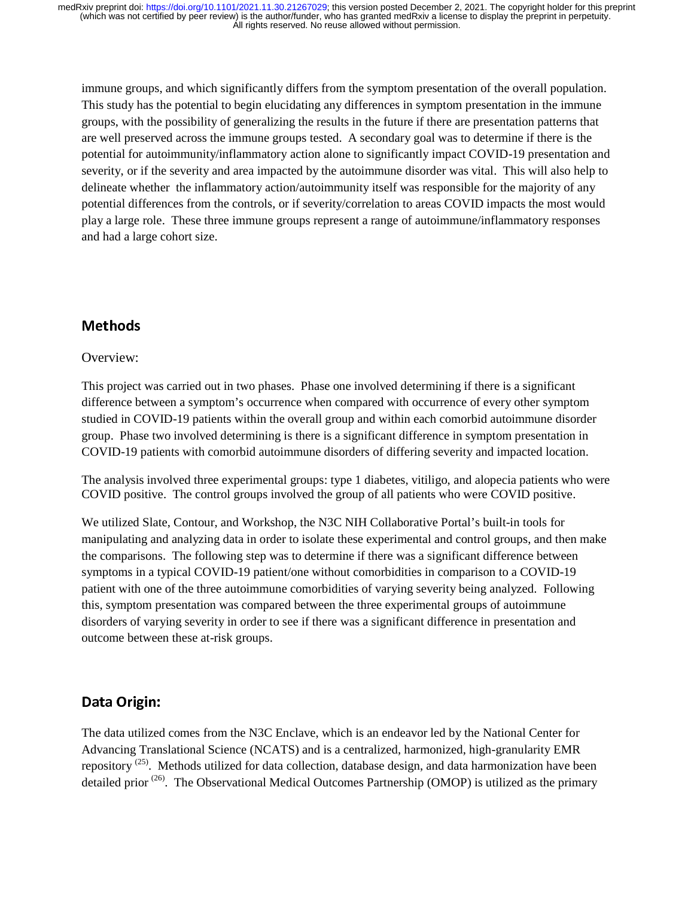immune groups, and which significantly differs from the symptom presentation of the overall population. This study has the potential to begin elucidating any differences in symptom presentation in the immune groups, with the possibility of generalizing the results in the future if there are presentation patterns that are well preserved across the immune groups tested. A secondary goal was to determine if there is the potential for autoimmunity/inflammatory action alone to significantly impact COVID-19 presentation and severity, or if the severity and area impacted by the autoimmune disorder was vital. This will also help to delineate whether the inflammatory action/autoimmunity itself was responsible for the majority of any potential differences from the controls, or if severity/correlation to areas COVID impacts the most would play a large role. These three immune groups represent a range of autoimmune/inflammatory responses and had a large cohort size.

# Methods

### Overview:

This project was carried out in two phases. Phase one involved determining if there is a significant difference between a symptom's occurrence when compared with occurrence of every other symptom studied in COVID-19 patients within the overall group and within each comorbid autoimmune disorder group. Phase two involved determining is there is a significant difference in symptom presentation in COVID-19 patients with comorbid autoimmune disorders of differing severity and impacted location.

The analysis involved three experimental groups: type 1 diabetes, vitiligo, and alopecia patients who were COVID positive. The control groups involved the group of all patients who were COVID positive.

We utilized Slate, Contour, and Workshop, the N3C NIH Collaborative Portal's built-in tools for manipulating and analyzing data in order to isolate these experimental and control groups, and then make the comparisons. The following step was to determine if there was a significant difference between symptoms in a typical COVID-19 patient/one without comorbidities in comparison to a COVID-19 patient with one of the three autoimmune comorbidities of varying severity being analyzed. Following this, symptom presentation was compared between the three experimental groups of autoimmune disorders of varying severity in order to see if there was a significant difference in presentation and outcome between these at-risk groups.

# Data Origin:

The data utilized comes from the N3C Enclave, which is an endeavor led by the National Center for Advancing Translational Science (NCATS) and is a centralized, harmonized, high-granularity EMR repository<sup>(25)</sup>. Methods utilized for data collection, database design, and data harmonization have been detailed prior  $(26)$ . The Observational Medical Outcomes Partnership (OMOP) is utilized as the primary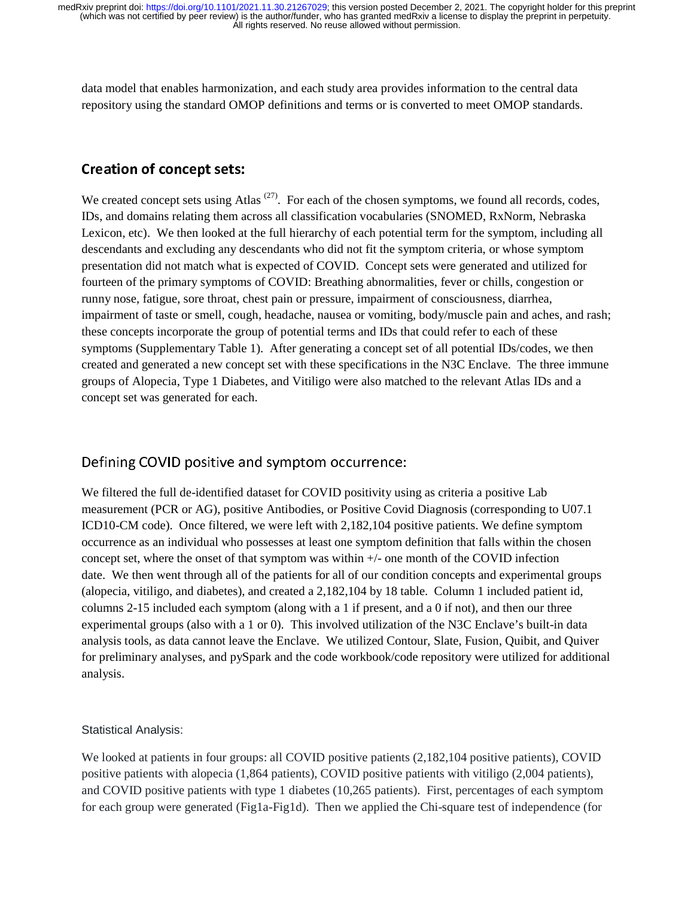data model that enables harmonization, and each study area provides information to the central data repository using the standard OMOP definitions and terms or is converted to meet OMOP standards.

### Creation of concept sets:

We created concept sets using Atlas  $(27)$ . For each of the chosen symptoms, we found all records, codes, IDs, and domains relating them across all classification vocabularies (SNOMED, RxNorm, Nebraska Lexicon, etc). We then looked at the full hierarchy of each potential term for the symptom, including all descendants and excluding any descendants who did not fit the symptom criteria, or whose symptom presentation did not match what is expected of COVID. Concept sets were generated and utilized for fourteen of the primary symptoms of COVID: Breathing abnormalities, fever or chills, congestion or runny nose, fatigue, sore throat, chest pain or pressure, impairment of consciousness, diarrhea, impairment of taste or smell, cough, headache, nausea or vomiting, body/muscle pain and aches, and rash; these concepts incorporate the group of potential terms and IDs that could refer to each of these symptoms (Supplementary Table 1). After generating a concept set of all potential IDs/codes, we then created and generated a new concept set with these specifications in the N3C Enclave. The three immune groups of Alopecia, Type 1 Diabetes, and Vitiligo were also matched to the relevant Atlas IDs and a concept set was generated for each.

### Defining COVID positive and symptom occurrence:

We filtered the full de-identified dataset for COVID positivity using as criteria a positive Lab measurement (PCR or AG), positive Antibodies, or Positive Covid Diagnosis (corresponding to U07.1 ICD10-CM code). Once filtered, we were left with 2,182,104 positive patients. We define symptom occurrence as an individual who possesses at least one symptom definition that falls within the chosen concept set, where the onset of that symptom was within +/- one month of the COVID infection date. We then went through all of the patients for all of our condition concepts and experimental groups (alopecia, vitiligo, and diabetes), and created a 2,182,104 by 18 table. Column 1 included patient id, columns 2-15 included each symptom (along with a 1 if present, and a 0 if not), and then our three experimental groups (also with a 1 or 0). This involved utilization of the N3C Enclave's built-in data analysis tools, as data cannot leave the Enclave. We utilized Contour, Slate, Fusion, Quibit, and Quiver for preliminary analyses, and pySpark and the code workbook/code repository were utilized for additional analysis.

### Statistical Analysis:

We looked at patients in four groups: all COVID positive patients  $(2,182,104$  positive patients), COVID positive patients with alopecia (1,864 patients), COVID positive patients with vitiligo (2,004 patients), and COVID positive patients with type 1 diabetes (10,265 patients). First, percentages of each symptom for each group were generated (Fig1a-Fig1d). Then we applied the Chi-square test of independence (for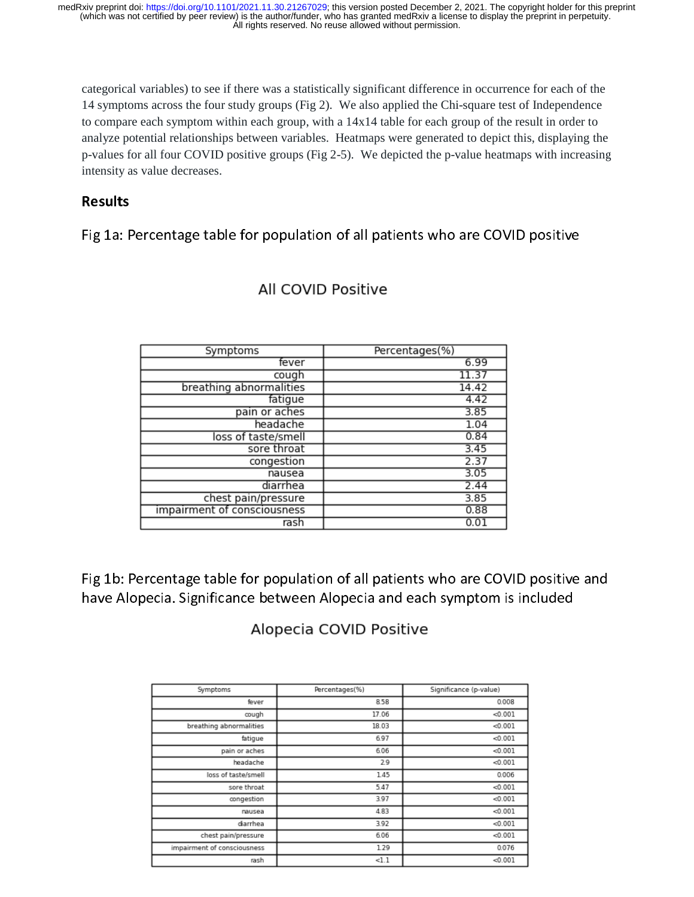categorical variables) to see if there was a statistically significant difference in occurrence for each of the 14 symptoms across the four study groups (Fig 2). We also applied the Chi-square test of Independence to compare each symptom within each group, with a 14x14 table for each group of the result in order to analyze potential relationships between variables. Heatmaps were generated to depict this, displaying the analyze potential relationships between variables. Heatmaps were generated to depict this, displaying the p-values for all four COVID positive groups (Fig 2-5). We depicted the p-value heatmaps with increasing intensity as value decreases.

# **Results**

Fig 1a: Percentage table for population of all patients who are COVID positive

| Symptoms                    | Percentages(%) |
|-----------------------------|----------------|
| fever                       | 6.99           |
| cough                       | 11.37          |
| breathing abnormalities     | 14.42          |
| fatigue                     | 4.42           |
| pain or aches               | 3.85           |
| headache                    | 1.04           |
| loss of taste/smell         | 0.84           |
| sore throat                 | 3.45           |
| congestion                  | 2.37           |
| nausea                      | 3.05           |
| diarrhea                    | 2.44           |
| chest pain/pressure         | 3.85           |
| impairment of consciousness | 0.88           |
| rash                        | 0.01           |

# All COVID Positive

Fig 1b: Percentage table for population of all patients who are COVID positive and Fig 1b: Percentage table for population of all patients who are COVID positive and have Alopecia. Significance between Alopecia and each symptom is included

# Alopecia COVID Positive

| Symptoms                    | Percentages(%) | Significance (p-value) |
|-----------------------------|----------------|------------------------|
| fever                       | 8.58           | 0.008                  |
| cough                       | 17.06          | < 0.001                |
| breathing abnormalities     | 18.03          | < 0.001                |
| fatique                     | 6.97           | < 0.001                |
| pain or aches               | 6.06           | < 0.001                |
| headache                    | 2.9            | < 0.001                |
| loss of taste/smell         | 1.45           | 0.006                  |
| sore throat                 | 5.47           | < 0.001                |
| congestion                  | 3.97           | < 0.001                |
| nausea                      | 4.83           | < 0.001                |
| diarrhea                    | 3.92           | < 0.001                |
| chest pain/pressure         | 6.06           | < 0.001                |
| impairment of consciousness | 1.29           | 0.076                  |
| rash                        | <1.1           | < 0.001                |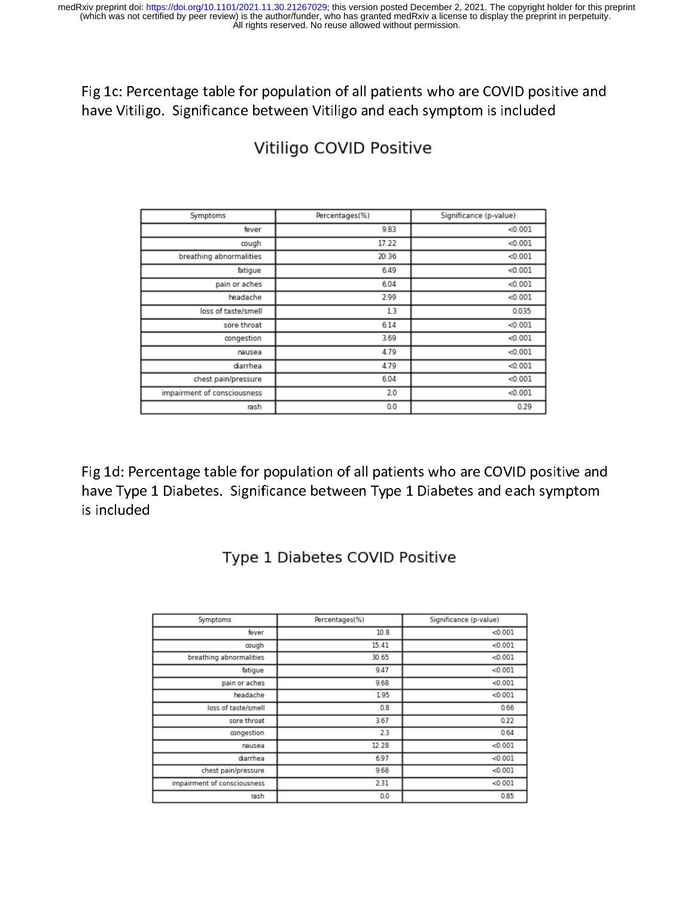Fig 1c: Percentage table for population of all patients who are COVID positive and have Vitiligo. Significance between Vitiligo and each symptom is included

| Symptoms                    | Percentages(%) | Significance (p-value) |
|-----------------------------|----------------|------------------------|
| fever                       | 9.83           | < 0.001                |
| cough                       | 17.22          | < 0.001                |
| breathing abnormalities     | 20.36          | < 0.001                |
| fatigue                     | 6.49           | < 0.001                |
| pain or aches               | 6.04           | < 0.001                |
| headache                    | 2.99           | < 0.001                |
| loss of taste/smell         | 1.3            | 0.035                  |
| sore throat                 | 6.14           | < 0.001                |
| congestion                  | 3.69           | < 0.001                |
| nausea                      | 4.79           | < 0.001                |
| diarrhea                    | 4.79           | < 0.001                |
| chest pain/pressure         | 6.04           | < 0.001                |
| impairment of consciousness | 2.0            | < 0.001                |
| rash                        | 0.0            | 0.29                   |

# Vitiligo COVID Positive

Fig 1d: Percentage table for population of all patients who are COVID positive and Fig 1d: Percentage table for population of all patients who are COVID positive and have Type 1 Diabetes. Significance between Type 1 Diabetes and each symptom is included

| Symptoms                    | Percentages(%) | Significance (p-value) |
|-----------------------------|----------------|------------------------|
| fever                       | 10.8           | < 0.001                |
| cough                       | 15.41          | < 0.001                |
| breathing abnormalities     | 30.65          | < 0.001                |
| fatigue                     | 9.47           | < 0.001                |
| pain or aches               | 9.68           | < 0.001                |
| headache                    | 1.95           | < 0.001                |
| loss of taste/smell         | 0.8            | 0.66                   |
| sore throat                 | 3.67           | 0.22                   |
| congestion                  | 2.3            | 0.64                   |
| nausea                      | 12.28          | < 0.001                |
| diarrhea                    | 6.97           | < 0.001                |
| chest pain/pressure         | 9.68           | < 0.001                |
| impairment of consciousness | 2.31           | < 0.001                |
| rash                        | 0.0            | 0.85                   |

# Type 1 Diabetes COVID Positive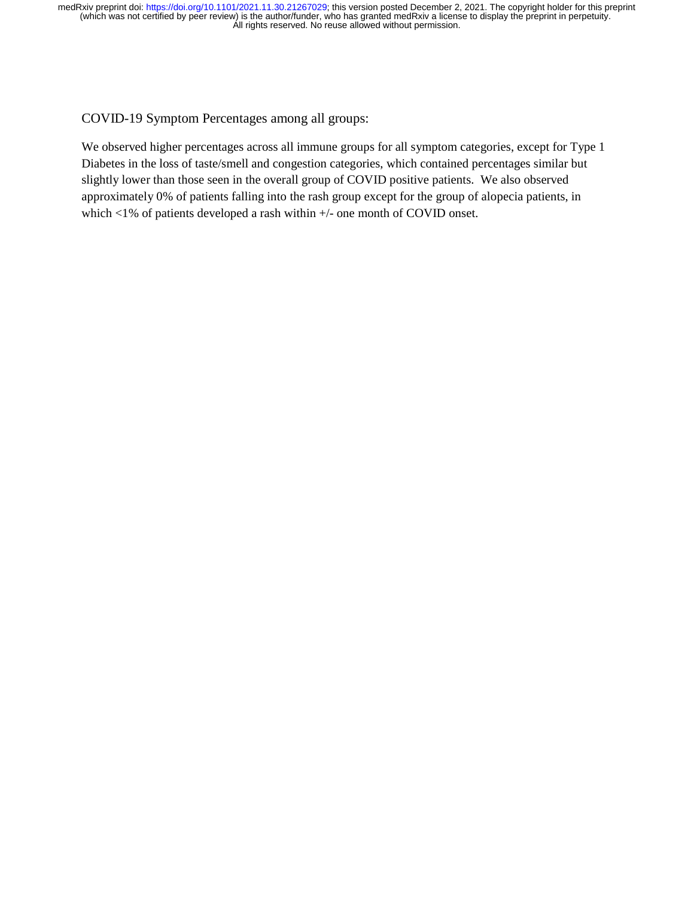COVID-19 Symptom Percentages among all groups:

We observed higher percentages across all immune groups for all symptom categories, except for Type 1 Diabetes in the loss of taste/smell and congestion categories, which contained percentages similar but slightly lower than those seen in the overall group of COVID positive patients. We also observed approximately 0% of patients falling into the rash group except for the group of alopecia patients, in which <1% of patients developed a rash within +/- one month of COVID onset.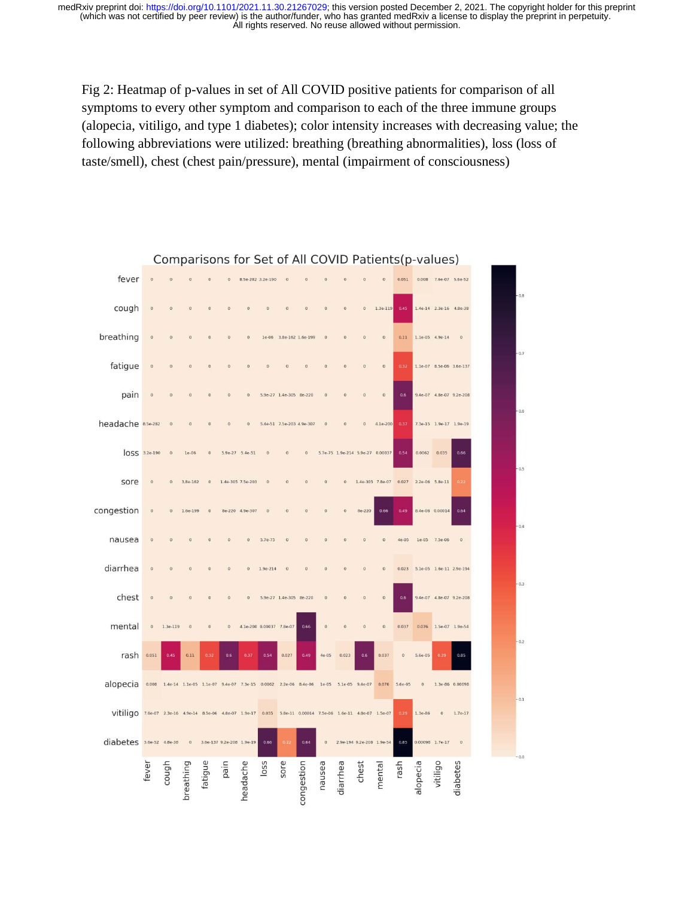Fig 2: Heatmap of p-values in set of All COVID positive patients for comparison of all symptoms to every other symptom and comparison to each of the three immune groups (alopecia, vitiligo, and type 1 diabetes); color intensity increases with decreasing value; the following abbreviations were utilized: breathing (breathing abnormalities), loss (loss of taste/smell), chest (chest pain/pressure), mental (impairment of consciousness)



### Comparisons for Set of All COVID Patients (p-values)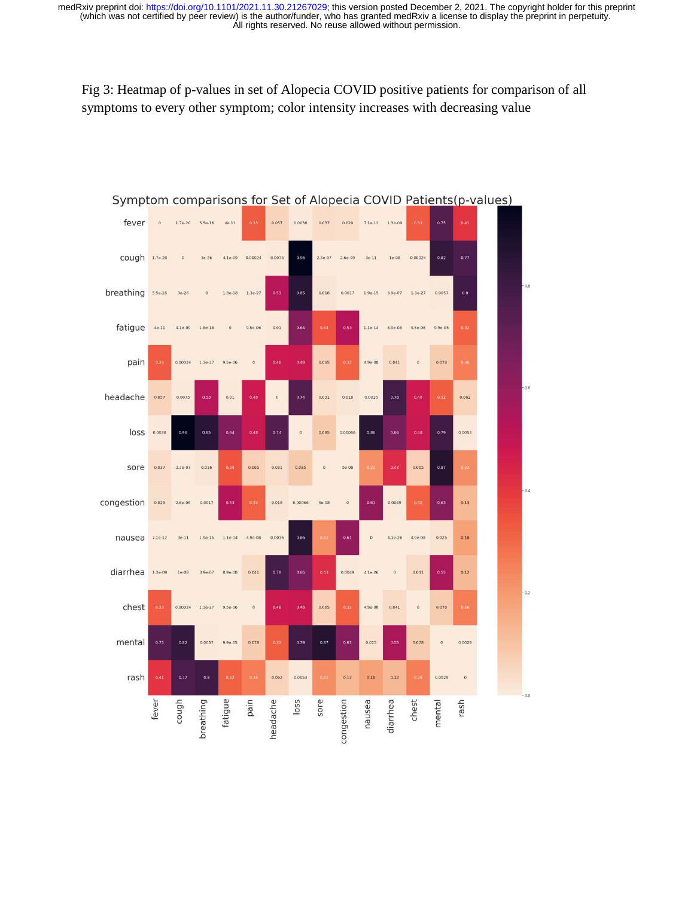Fig 3: Heatmap of p-values in set of Alopecia COVID positive patients for comparison of all symptoms to every other symptom; color intensity increases with decreasing value



### Symptom comparisons for Set of Alopecia COVID Patients(p-values)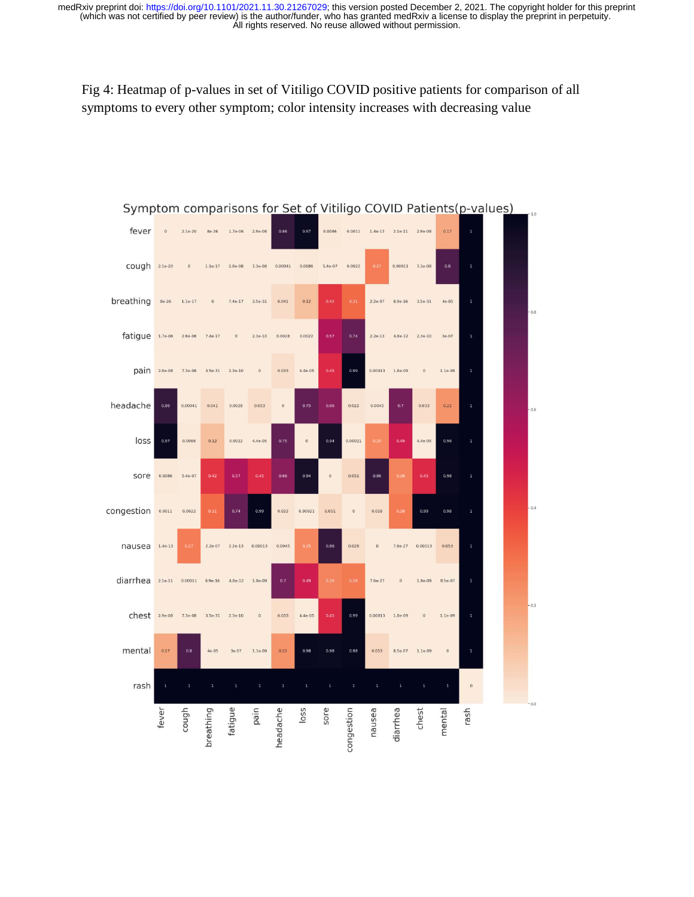Fig 4: Heatmap of p-values in set of Vitiligo COVID positive patients for comparison of all symptoms to every other symptom; color intensity increases with decreasing value

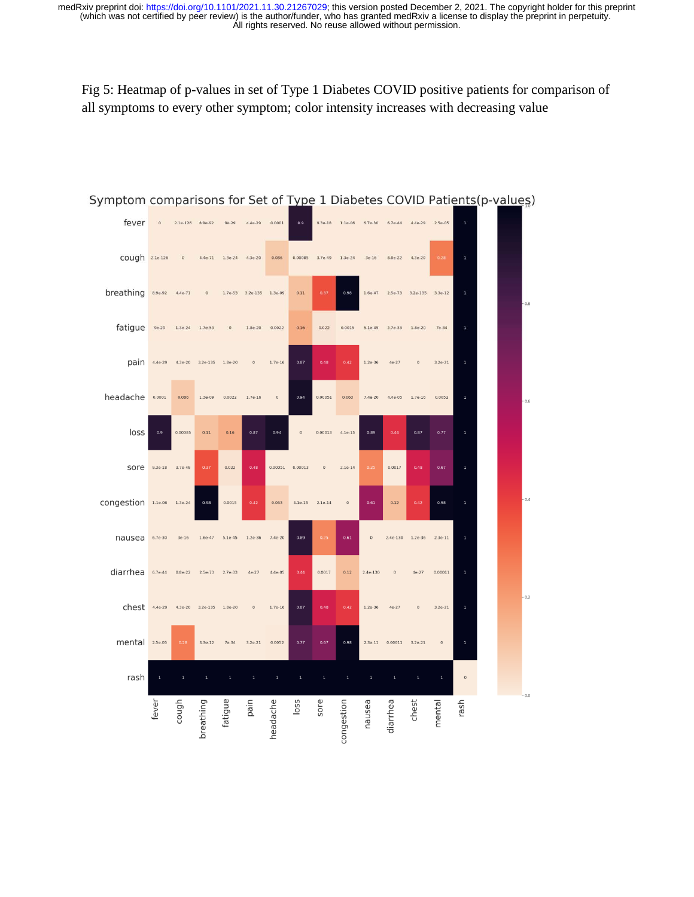Fig 5: Heatmap of p-values in set of Type 1 Diabetes COVID positive patients for comparison of all symptoms to every other symptom; color intensity increases with decreasing value



## Symptom comparisons for Set of Type 1 Diabetes COVID Patients(p-values)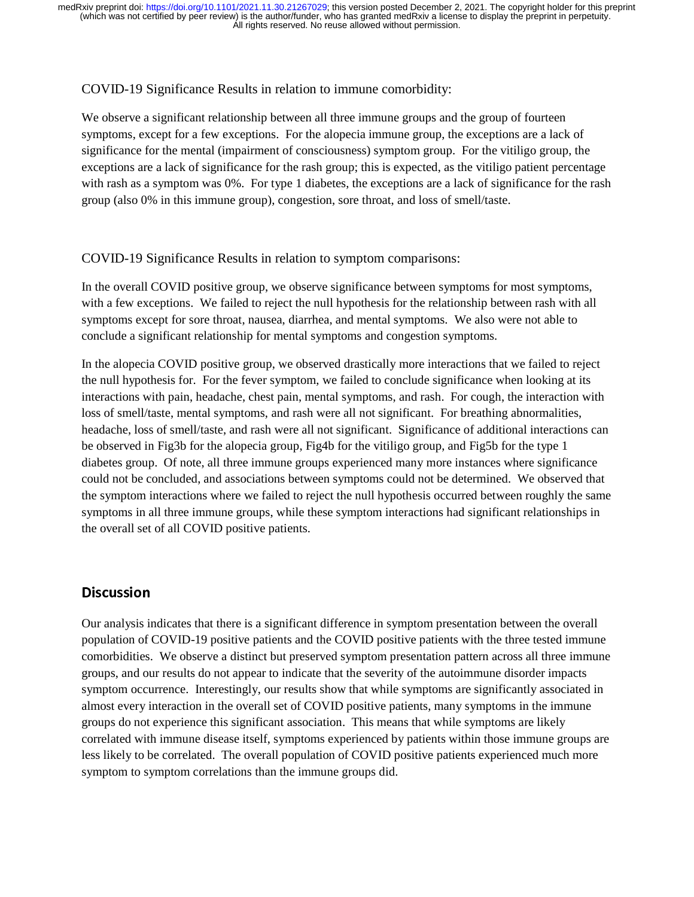### COVID-19 Significance Results in relation to immune comorbidity:

We observe a significant relationship between all three immune groups and the group of fourteen symptoms, except for a few exceptions. For the alopecia immune group, the exceptions are a lack of significance for the mental (impairment of consciousness) symptom group. For the vitiligo group, the exceptions are a lack of significance for the rash group; this is expected, as the vitiligo patient percentage with rash as a symptom was 0%. For type 1 diabetes, the exceptions are a lack of significance for the rash group (also 0% in this immune group), congestion, sore throat, and loss of smell/taste.

### COVID-19 Significance Results in relation to symptom comparisons:

In the overall COVID positive group, we observe significance between symptoms for most symptoms, with a few exceptions. We failed to reject the null hypothesis for the relationship between rash with all symptoms except for sore throat, nausea, diarrhea, and mental symptoms. We also were not able to conclude a significant relationship for mental symptoms and congestion symptoms.

In the alopecia COVID positive group, we observed drastically more interactions that we failed to reject the null hypothesis for. For the fever symptom, we failed to conclude significance when looking at its interactions with pain, headache, chest pain, mental symptoms, and rash. For cough, the interaction with loss of smell/taste, mental symptoms, and rash were all not significant. For breathing abnormalities, headache, loss of smell/taste, and rash were all not significant. Significance of additional interactions can be observed in Fig3b for the alopecia group, Fig4b for the vitiligo group, and Fig5b for the type 1 diabetes group. Of note, all three immune groups experienced many more instances where significance could not be concluded, and associations between symptoms could not be determined. We observed that the symptom interactions where we failed to reject the null hypothesis occurred between roughly the same symptoms in all three immune groups, while these symptom interactions had significant relationships in the overall set of all COVID positive patients.

# **Discussion**

Our analysis indicates that there is a significant difference in symptom presentation between the overall population of COVID-19 positive patients and the COVID positive patients with the three tested immune comorbidities. We observe a distinct but preserved symptom presentation pattern across all three immune groups, and our results do not appear to indicate that the severity of the autoimmune disorder impacts symptom occurrence. Interestingly, our results show that while symptoms are significantly associated in almost every interaction in the overall set of COVID positive patients, many symptoms in the immune groups do not experience this significant association. This means that while symptoms are likely correlated with immune disease itself, symptoms experienced by patients within those immune groups are less likely to be correlated. The overall population of COVID positive patients experienced much more symptom to symptom correlations than the immune groups did.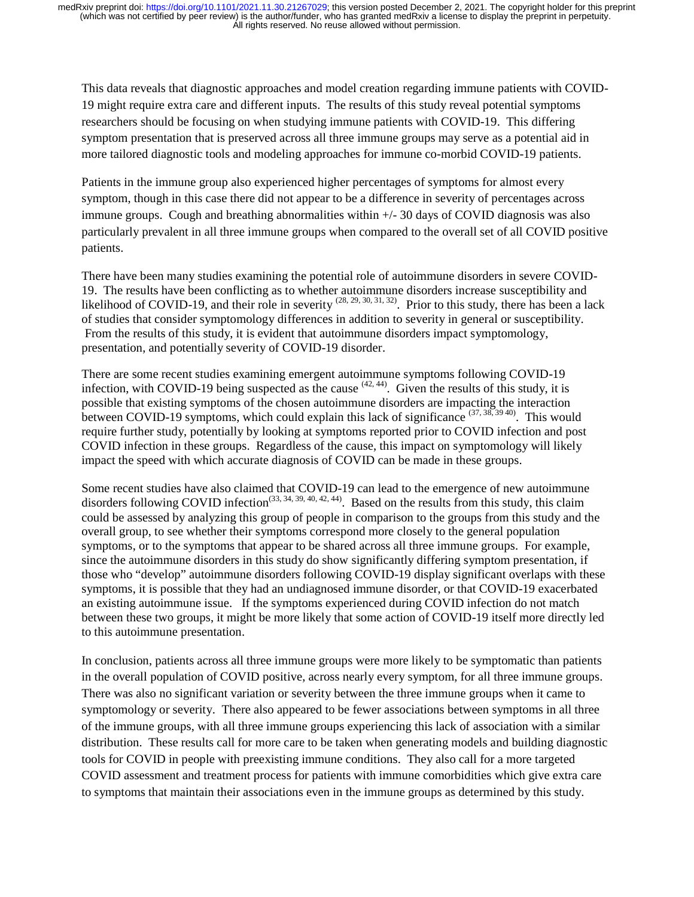This data reveals that diagnostic approaches and model creation regarding immune patients with COVID-19 might require extra care and different inputs. The results of this study reveal potential symptoms researchers should be focusing on when studying immune patients with COVID-19. This differing symptom presentation that is preserved across all three immune groups may serve as a potential aid in more tailored diagnostic tools and modeling approaches for immune co-morbid COVID-19 patients.

Patients in the immune group also experienced higher percentages of symptoms for almost every symptom, though in this case there did not appear to be a difference in severity of percentages across immune groups. Cough and breathing abnormalities within +/- 30 days of COVID diagnosis was also particularly prevalent in all three immune groups when compared to the overall set of all COVID positive patients.

There have been many studies examining the potential role of autoimmune disorders in severe COVID-19. The results have been conflicting as to whether autoimmune disorders increase susceptibility and likelihood of COVID-19, and their role in severity  $^{(28, 29, 30, 31, 32)}$ . Prior to this study, there has been a lack of studies that consider symptomology differences in addition to severity in general or susceptibility. From the results of this study, it is evident that autoimmune disorders impact symptomology, presentation, and potentially severity of COVID-19 disorder.

There are some recent studies examining emergent autoimmune symptoms following COVID-19 infection, with COVID-19 being suspected as the cause  $(42, 44)$ . Given the results of this study, it is possible that existing symptoms of the chosen autoimmune disorders are impacting the interaction between COVID-19 symptoms, which could explain this lack of significance  $(37, 38, 39, 40)$ . This would require further study, potentially by looking at symptoms reported prior to COVID infection and post COVID infection in these groups. Regardless of the cause, this impact on symptomology will likely impact the speed with which accurate diagnosis of COVID can be made in these groups.

Some recent studies have also claimed that COVID-19 can lead to the emergence of new autoimmune disorders following COVID infection<sup>(33, 34, 39, 40, 42, 44)</sup>. Based on the results from this study, this claim could be assessed by analyzing this group of people in comparison to the groups from this study and the overall group, to see whether their symptoms correspond more closely to the general population symptoms, or to the symptoms that appear to be shared across all three immune groups. For example, since the autoimmune disorders in this study do show significantly differing symptom presentation, if those who "develop" autoimmune disorders following COVID-19 display significant overlaps with these symptoms, it is possible that they had an undiagnosed immune disorder, or that COVID-19 exacerbated an existing autoimmune issue. If the symptoms experienced during COVID infection do not match between these two groups, it might be more likely that some action of COVID-19 itself more directly led to this autoimmune presentation.

In conclusion, patients across all three immune groups were more likely to be symptomatic than patients in the overall population of COVID positive, across nearly every symptom, for all three immune groups. There was also no significant variation or severity between the three immune groups when it came to symptomology or severity. There also appeared to be fewer associations between symptoms in all three of the immune groups, with all three immune groups experiencing this lack of association with a similar distribution. These results call for more care to be taken when generating models and building diagnostic tools for COVID in people with preexisting immune conditions. They also call for a more targeted COVID assessment and treatment process for patients with immune comorbidities which give extra care to symptoms that maintain their associations even in the immune groups as determined by this study.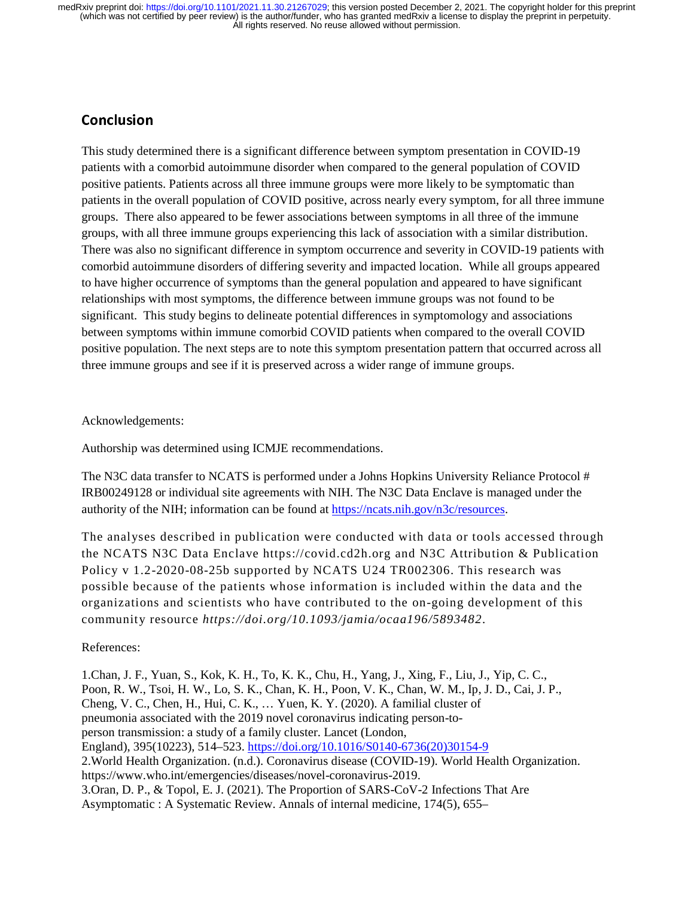# **Conclusion**

This study determined there is a significant difference between symptom presentation in COVID-19 patients with a comorbid autoimmune disorder when compared to the general population of COVID positive patients. Patients across all three immune groups were more likely to be symptomatic than patients in the overall population of COVID positive, across nearly every symptom, for all three immune groups. There also appeared to be fewer associations between symptoms in all three of the immune groups, with all three immune groups experiencing this lack of association with a similar distribution. There was also no significant difference in symptom occurrence and severity in COVID-19 patients with comorbid autoimmune disorders of differing severity and impacted location. While all groups appeared to have higher occurrence of symptoms than the general population and appeared to have significant relationships with most symptoms, the difference between immune groups was not found to be significant. This study begins to delineate potential differences in symptomology and associations between symptoms within immune comorbid COVID patients when compared to the overall COVID positive population. The next steps are to note this symptom presentation pattern that occurred across all three immune groups and see if it is preserved across a wider range of immune groups.

### Acknowledgements:

Authorship was determined using ICMJE recommendations.

The N3C data transfer to NCATS is performed under a Johns Hopkins University Reliance Protocol # IRB00249128 or individual site agreements with NIH. The N3C Data Enclave is managed under the authority of the NIH; information can be found at https://ncats.nih.gov/n3c/resources.

The analyses described in publication were conducted with data or tools accessed through the NCATS N3C Data Enclave https://covid.cd2h.org and N3C Attribution & Publication Policy v 1.2-2020-08-25b supported by NCATS U24 TR002306. This research was possible because of the patients whose information is included within the data and the organizations and scientists who have contributed to the on-going development of this community resource *https://doi.org/10.1093/jamia/ocaa196/5893482*.

### References:

1.Chan, J. F., Yuan, S., Kok, K. H., To, K. K., Chu, H., Yang, J., Xing, F., Liu, J., Yip, C. C., Poon, R. W., Tsoi, H. W., Lo, S. K., Chan, K. H., Poon, V. K., Chan, W. M., Ip, J. D., Cai, J. P., Cheng, V. C., Chen, H., Hui, C. K., … Yuen, K. Y. (2020). A familial cluster of pneumonia associated with the 2019 novel coronavirus indicating person-toperson transmission: a study of a family cluster. Lancet (London, England), 395(10223), 514–523. https://doi.org/10.1016/S0140-6736(20)30154-9 2.World Health Organization. (n.d.). Coronavirus disease (COVID-19). World Health Organization. https://www.who.int/emergencies/diseases/novel-coronavirus-2019. 3.Oran, D. P., & Topol, E. J. (2021). The Proportion of SARS-CoV-2 Infections That Are Asymptomatic : A Systematic Review. Annals of internal medicine, 174(5), 655–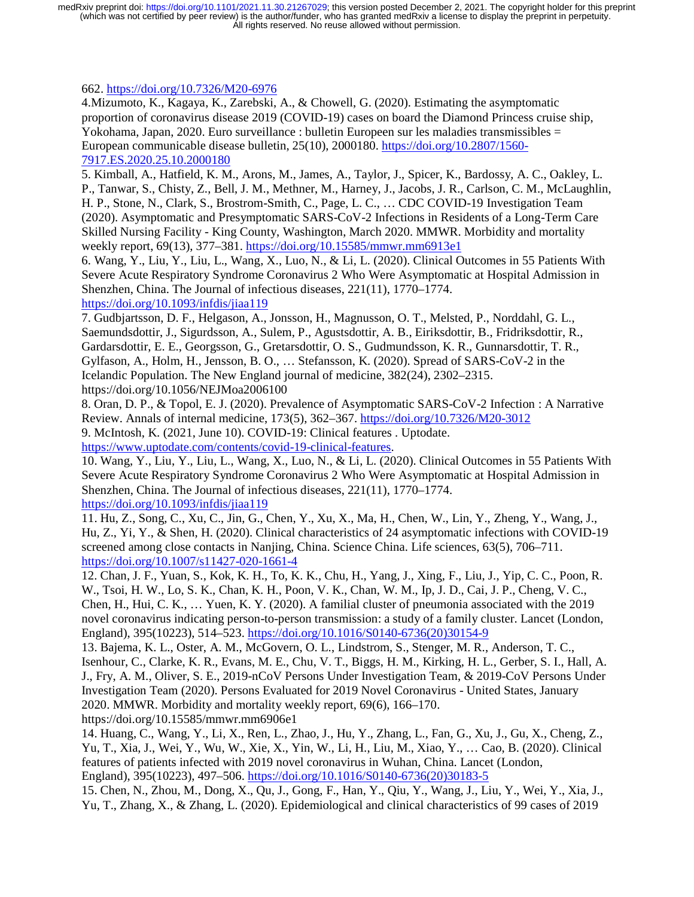662. https://doi.org/10.7326/M20-6976

4.Mizumoto, K., Kagaya, K., Zarebski, A., & Chowell, G. (2020). Estimating the asymptomatic proportion of coronavirus disease 2019 (COVID-19) cases on board the Diamond Princess cruise ship, Yokohama, Japan, 2020. Euro surveillance : bulletin Europeen sur les maladies transmissibles  $=$ European communicable disease bulletin, 25(10), 2000180. https://doi.org/10.2807/1560- 7917.ES.2020.25.10.2000180

5. Kimball, A., Hatfield, K. M., Arons, M., James, A., Taylor, J., Spicer, K., Bardossy, A. C., Oakley, L. P., Tanwar, S., Chisty, Z., Bell, J. M., Methner, M., Harney, J., Jacobs, J. R., Carlson, C. M., McLaughlin, H. P., Stone, N., Clark, S., Brostrom-Smith, C., Page, L. C., … CDC COVID-19 Investigation Team (2020). Asymptomatic and Presymptomatic SARS-CoV-2 Infections in Residents of a Long-Term Care Skilled Nursing Facility - King County, Washington, March 2020. MMWR. Morbidity and mortality weekly report, 69(13), 377–381. https://doi.org/10.15585/mmwr.mm6913e1

6. Wang, Y., Liu, Y., Liu, L., Wang, X., Luo, N., & Li, L. (2020). Clinical Outcomes in 55 Patients With Severe Acute Respiratory Syndrome Coronavirus 2 Who Were Asymptomatic at Hospital Admission in Shenzhen, China. The Journal of infectious diseases, 221(11), 1770–1774. https://doi.org/10.1093/infdis/jiaa119

7. Gudbjartsson, D. F., Helgason, A., Jonsson, H., Magnusson, O. T., Melsted, P., Norddahl, G. L., Saemundsdottir, J., Sigurdsson, A., Sulem, P., Agustsdottir, A. B., Eiriksdottir, B., Fridriksdottir, R., Gardarsdottir, E. E., Georgsson, G., Gretarsdottir, O. S., Gudmundsson, K. R., Gunnarsdottir, T. R., Gylfason, A., Holm, H., Jensson, B. O., … Stefansson, K. (2020). Spread of SARS-CoV-2 in the Icelandic Population. The New England journal of medicine, 382(24), 2302–2315. https://doi.org/10.1056/NEJMoa2006100

8. Oran, D. P., & Topol, E. J. (2020). Prevalence of Asymptomatic SARS-CoV-2 Infection : A Narrative Review. Annals of internal medicine, 173(5), 362–367. https://doi.org/10.7326/M20-3012 9. McIntosh, K. (2021, June 10). COVID-19: Clinical features . Uptodate.

https://www.uptodate.com/contents/covid-19-clinical-features.

10. Wang, Y., Liu, Y., Liu, L., Wang, X., Luo, N., & Li, L. (2020). Clinical Outcomes in 55 Patients With Severe Acute Respiratory Syndrome Coronavirus 2 Who Were Asymptomatic at Hospital Admission in Shenzhen, China. The Journal of infectious diseases, 221(11), 1770–1774. https://doi.org/10.1093/infdis/jiaa119

11. Hu, Z., Song, C., Xu, C., Jin, G., Chen, Y., Xu, X., Ma, H., Chen, W., Lin, Y., Zheng, Y., Wang, J., Hu, Z., Yi, Y., & Shen, H. (2020). Clinical characteristics of 24 asymptomatic infections with COVID-19 screened among close contacts in Nanjing, China. Science China. Life sciences, 63(5), 706–711. https://doi.org/10.1007/s11427-020-1661-4

12. Chan, J. F., Yuan, S., Kok, K. H., To, K. K., Chu, H., Yang, J., Xing, F., Liu, J., Yip, C. C., Poon, R. W., Tsoi, H. W., Lo, S. K., Chan, K. H., Poon, V. K., Chan, W. M., Ip, J. D., Cai, J. P., Cheng, V. C., Chen, H., Hui, C. K., … Yuen, K. Y. (2020). A familial cluster of pneumonia associated with the 2019 novel coronavirus indicating person-to-person transmission: a study of a family cluster. Lancet (London, England), 395(10223), 514–523. https://doi.org/10.1016/S0140-6736(20)30154-9

13. Bajema, K. L., Oster, A. M., McGovern, O. L., Lindstrom, S., Stenger, M. R., Anderson, T. C., Isenhour, C., Clarke, K. R., Evans, M. E., Chu, V. T., Biggs, H. M., Kirking, H. L., Gerber, S. I., Hall, A. J., Fry, A. M., Oliver, S. E., 2019-nCoV Persons Under Investigation Team, & 2019-CoV Persons Under Investigation Team (2020). Persons Evaluated for 2019 Novel Coronavirus - United States, January 2020. MMWR. Morbidity and mortality weekly report, 69(6), 166–170. https://doi.org/10.15585/mmwr.mm6906e1

14. Huang, C., Wang, Y., Li, X., Ren, L., Zhao, J., Hu, Y., Zhang, L., Fan, G., Xu, J., Gu, X., Cheng, Z., Yu, T., Xia, J., Wei, Y., Wu, W., Xie, X., Yin, W., Li, H., Liu, M., Xiao, Y., … Cao, B. (2020). Clinical features of patients infected with 2019 novel coronavirus in Wuhan, China. Lancet (London, England), 395(10223), 497–506. https://doi.org/10.1016/S0140-6736(20)30183-5

15. Chen, N., Zhou, M., Dong, X., Qu, J., Gong, F., Han, Y., Qiu, Y., Wang, J., Liu, Y., Wei, Y., Xia, J., Yu, T., Zhang, X., & Zhang, L. (2020). Epidemiological and clinical characteristics of 99 cases of 2019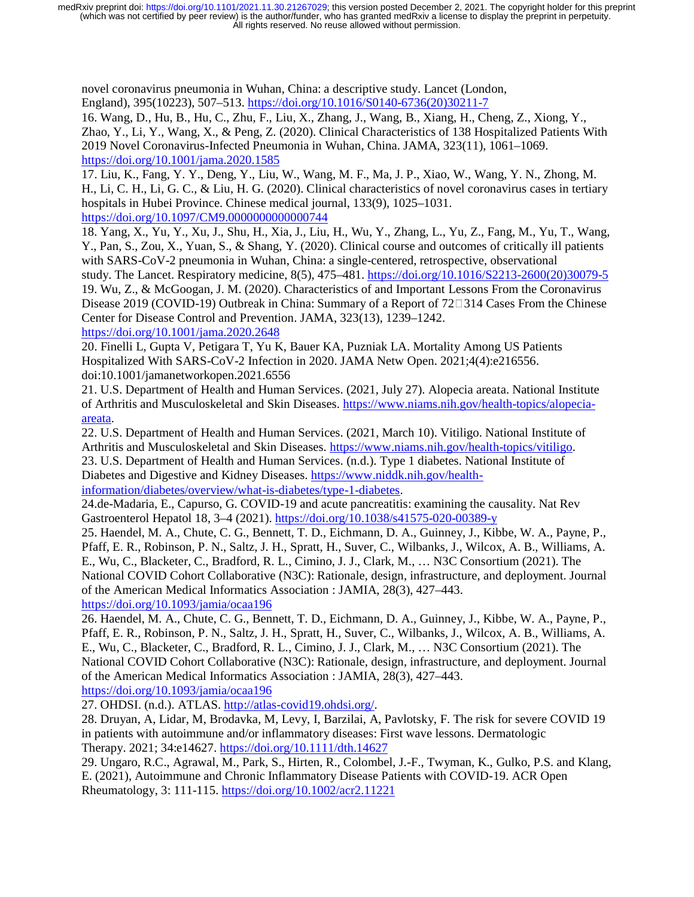novel coronavirus pneumonia in Wuhan, China: a descriptive study. Lancet (London, England), 395(10223), 507–513. https://doi.org/10.1016/S0140-6736(20)30211-7

16. Wang, D., Hu, B., Hu, C., Zhu, F., Liu, X., Zhang, J., Wang, B., Xiang, H., Cheng, Z., Xiong, Y., Zhao, Y., Li, Y., Wang, X., & Peng, Z. (2020). Clinical Characteristics of 138 Hospitalized Patients With 2019 Novel Coronavirus-Infected Pneumonia in Wuhan, China. JAMA, 323(11), 1061–1069. https://doi.org/10.1001/jama.2020.1585

17. Liu, K., Fang, Y. Y., Deng, Y., Liu, W., Wang, M. F., Ma, J. P., Xiao, W., Wang, Y. N., Zhong, M. H., Li, C. H., Li, G. C., & Liu, H. G. (2020). Clinical characteristics of novel coronavirus cases in tertiary hospitals in Hubei Province. Chinese medical journal, 133(9), 1025–1031. https://doi.org/10.1097/CM9.0000000000000744

18. Yang, X., Yu, Y., Xu, J., Shu, H., Xia, J., Liu, H., Wu, Y., Zhang, L., Yu, Z., Fang, M., Yu, T., Wang, Y., Pan, S., Zou, X., Yuan, S., & Shang, Y. (2020). Clinical course and outcomes of critically ill patients with SARS-CoV-2 pneumonia in Wuhan, China: a single-centered, retrospective, observational study. The Lancet. Respiratory medicine, 8(5), 475–481. https://doi.org/10.1016/S2213-2600(20)30079-5 19. Wu, Z., & McGoogan, J. M. (2020). Characteristics of and Important Lessons From the Coronavirus Disease 2019 (COVID-19) Outbreak in China: Summary of a Report of  $72\Box 314$  Cases From the Chinese Center for Disease Control and Prevention. JAMA, 323(13), 1239–1242. https://doi.org/10.1001/jama.2020.2648

20. Finelli L, Gupta V, Petigara T, Yu K, Bauer KA, Puzniak LA. Mortality Among US Patients Hospitalized With SARS-CoV-2 Infection in 2020. JAMA Netw Open. 2021;4(4):e216556. doi:10.1001/jamanetworkopen.2021.6556

21. U.S. Department of Health and Human Services. (2021, July 27). Alopecia areata. National Institute of Arthritis and Musculoskeletal and Skin Diseases. https://www.niams.nih.gov/health-topics/alopeciaareata.

22. U.S. Department of Health and Human Services. (2021, March 10). Vitiligo. National Institute of Arthritis and Musculoskeletal and Skin Diseases. https://www.niams.nih.gov/health-topics/vitiligo. 23. U.S. Department of Health and Human Services. (n.d.). Type 1 diabetes. National Institute of Diabetes and Digestive and Kidney Diseases. https://www.niddk.nih.gov/healthinformation/diabetes/overview/what-is-diabetes/type-1-diabetes.

24.de-Madaria, E., Capurso, G. COVID-19 and acute pancreatitis: examining the causality. Nat Rev Gastroenterol Hepatol 18, 3–4 (2021). https://doi.org/10.1038/s41575-020-00389-y

25. Haendel, M. A., Chute, C. G., Bennett, T. D., Eichmann, D. A., Guinney, J., Kibbe, W. A., Payne, P., Pfaff, E. R., Robinson, P. N., Saltz, J. H., Spratt, H., Suver, C., Wilbanks, J., Wilcox, A. B., Williams, A. E., Wu, C., Blacketer, C., Bradford, R. L., Cimino, J. J., Clark, M., … N3C Consortium (2021). The National COVID Cohort Collaborative (N3C): Rationale, design, infrastructure, and deployment. Journal of the American Medical Informatics Association : JAMIA, 28(3), 427–443. https://doi.org/10.1093/jamia/ocaa196

26. Haendel, M. A., Chute, C. G., Bennett, T. D., Eichmann, D. A., Guinney, J., Kibbe, W. A., Payne, P., Pfaff, E. R., Robinson, P. N., Saltz, J. H., Spratt, H., Suver, C., Wilbanks, J., Wilcox, A. B., Williams, A. E., Wu, C., Blacketer, C., Bradford, R. L., Cimino, J. J., Clark, M., … N3C Consortium (2021). The National COVID Cohort Collaborative (N3C): Rationale, design, infrastructure, and deployment. Journal of the American Medical Informatics Association : JAMIA, 28(3), 427–443. https://doi.org/10.1093/jamia/ocaa196

27. OHDSI. (n.d.). ATLAS. http://atlas-covid19.ohdsi.org/.

28. Druyan, A, Lidar, M, Brodavka, M, Levy, I, Barzilai, A, Pavlotsky, F. The risk for severe COVID 19 in patients with autoimmune and/or inflammatory diseases: First wave lessons. Dermatologic Therapy. 2021; 34:e14627. https://doi.org/10.1111/dth.14627

29. Ungaro, R.C., Agrawal, M., Park, S., Hirten, R., Colombel, J.-F., Twyman, K., Gulko, P.S. and Klang, E. (2021), Autoimmune and Chronic Inflammatory Disease Patients with COVID-19. ACR Open Rheumatology, 3: 111-115. https://doi.org/10.1002/acr2.11221